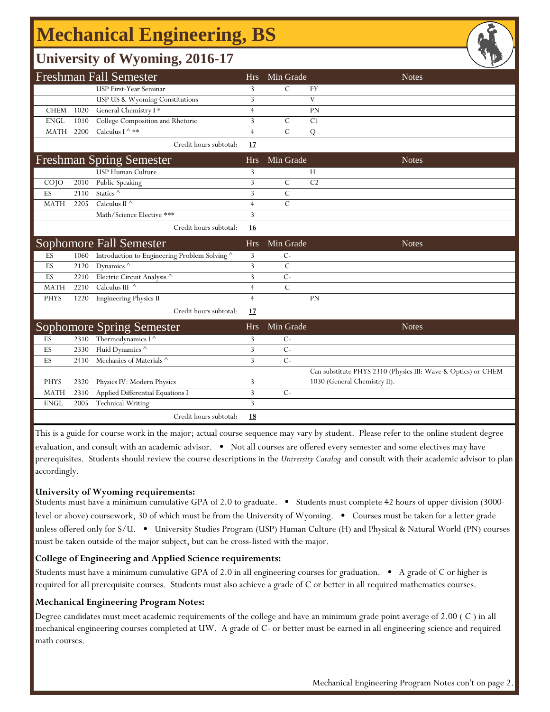# **Mechanical Engineering, BS**

## **University of Wyoming, 2016-17**

|             |      | <b>Freshman Fall Semester</b>               | <b>Hrs</b>     | Min Grade      | <b>Notes</b>                                                  |
|-------------|------|---------------------------------------------|----------------|----------------|---------------------------------------------------------------|
|             |      | USP First-Year Seminar                      | 3              | $\mathcal{C}$  | <b>FY</b>                                                     |
|             |      | USP US & Wyoming Constitutions              | 3              |                | V                                                             |
| <b>CHEM</b> | 1020 | General Chemistry I*                        | $\overline{4}$ |                | PN                                                            |
| <b>ENGL</b> | 1010 | College Composition and Rhetoric            | 3              | $\mathcal{C}$  | C1                                                            |
| MATH        | 2200 | Calculus I ^ **                             | $\overline{4}$ | $\mathcal{C}$  | Q                                                             |
|             |      | Credit hours subtotal:                      | 17             |                |                                                               |
|             |      | <b>Freshman Spring Semester</b>             | <b>Hrs</b>     | Min Grade      | <b>Notes</b>                                                  |
|             |      | <b>USP Human Culture</b>                    | 3              |                | Н                                                             |
| COJO        | 2010 | Public Speaking                             | 3              | $\mathcal{C}$  | C <sub>2</sub>                                                |
| ES          | 2110 | Statics $^\wedge$                           | 3              | $\overline{C}$ |                                                               |
| <b>MATH</b> | 2205 | Calculus II $^\wedge$                       | $\overline{4}$ | $\overline{C}$ |                                                               |
|             |      | Math/Science Elective ***                   | 3              |                |                                                               |
|             |      | Credit hours subtotal:                      | 16             |                |                                                               |
|             |      | Sophomore Fall Semester                     | <b>Hrs</b>     | Min Grade      | <b>Notes</b>                                                  |
| ES          | 1060 | Introduction to Engineering Problem Solving | 3              | $C-$           |                                                               |
| ES          | 2120 | Dynamics $\wedge$                           | 3              | $\mathcal{C}$  |                                                               |
| ES          | 2210 | Electric Circuit Analysis ^                 | 3              | $C -$          |                                                               |
| <b>MATH</b> | 2210 | Calculus III $\wedge$                       | $\overline{4}$ | $\mathcal{C}$  |                                                               |
| <b>PHYS</b> | 1220 | <b>Engineering Physics II</b>               | $\overline{4}$ |                | PN                                                            |
|             |      | Credit hours subtotal:                      | 17             |                |                                                               |
|             |      | <b>Sophomore Spring Semester</b>            | <b>Hrs</b>     | Min Grade      | <b>Notes</b>                                                  |
| ES          | 2310 | Thermodynamics I $^{\wedge}$                | 3              | $C-$           |                                                               |
| ES          | 2330 | Fluid Dynamics ^                            | 3              | $C-$           |                                                               |
| ES          | 2410 | Mechanics of Materials ^                    | 3              | $C -$          |                                                               |
|             |      |                                             |                |                | Can substitute PHYS 2310 (Physics III: Wave & Optics) or CHEM |
| <b>PHYS</b> | 2320 | Physics IV: Modern Physics                  | 3              |                | 1030 (General Chemistry II).                                  |
| <b>MATH</b> | 2310 | Applied Differential Equations I            | 3              | $C-$           |                                                               |
| <b>ENGL</b> | 2005 | <b>Technical Writing</b>                    | 3              |                |                                                               |
|             |      | Credit hours subtotal:                      | <u>18</u>      |                |                                                               |

This is a guide for course work in the major; actual course sequence may vary by student. Please refer to the online student degree evaluation, and consult with an academic advisor. • Not all courses are offered every semester and some electives may have prerequisites. Students should review the course descriptions in the *University Catalog* and consult with their academic advisor to plan accordingly.

#### **University of Wyoming requirements:**

Students must have a minimum cumulative GPA of 2.0 to graduate. • Students must complete 42 hours of upper division (3000 level or above) coursework, 30 of which must be from the University of Wyoming. • Courses must be taken for a letter grade unless offered only for S/U. • University Studies Program (USP) Human Culture (H) and Physical & Natural World (PN) courses must be taken outside of the major subject, but can be cross-listed with the major.

### **College of Engineering and Applied Science requirements:**

Students must have a minimum cumulative GPA of 2.0 in all engineering courses for graduation. • A grade of C or higher is required for all prerequisite courses. Students must also achieve a grade of C or better in all required mathematics courses.

### **Mechanical Engineering Program Notes:**

Degree candidates must meet academic requirements of the college and have an minimum grade point average of 2.00 ( C ) in all mechanical engineering courses completed at UW. A grade of C- or better must be earned in all engineering science and required math courses.